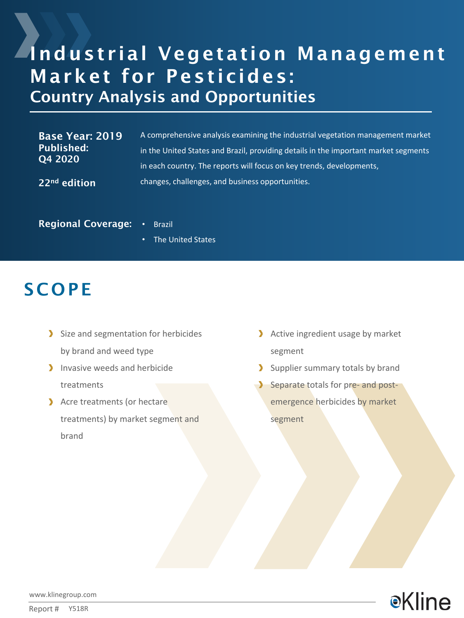# Industrial Vegetation Management Market for Pesticides: Country Analysis and Opportunities

| Base Year: 2019<br><b>Published:</b><br>Q4 2020 | A comprehensive analysis examining the industrial vegetation management market      |
|-------------------------------------------------|-------------------------------------------------------------------------------------|
|                                                 | in the United States and Brazil, providing details in the important market segments |
|                                                 | in each country. The reports will focus on key trends, developments,                |
| 22 <sup>nd</sup> edition                        | changes, challenges, and business opportunities.                                    |

Regional Coverage: • Brazil

• The United States

### **SCOPE**

- Size and segmentation for herbicides by brand and weed type
- Invasive weeds and herbicide treatments
- Acre treatments (or hectare treatments) by market segment and brand
- Active ingredient usage by market segment
- Supplier summary totals by brand
- Separate totals for pre- and postemergence herbicides by market segment



www.klinegroup.com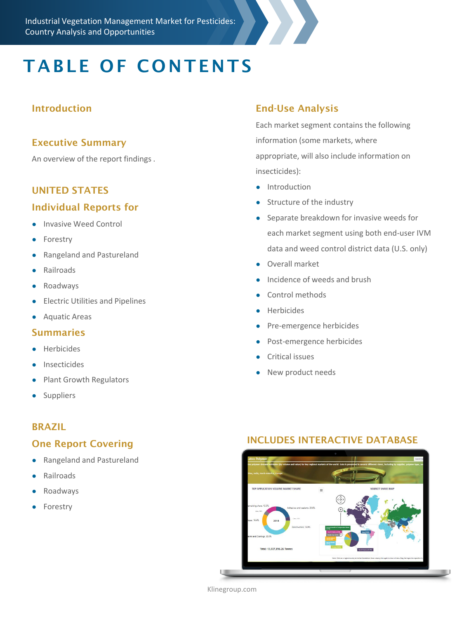# TABLE OF CONTENTS

### Introduction

#### Executive Summary

An overview of the report findings .

#### UNITED STATES

#### Individual Reports for

- Invasive Weed Control
- Forestry
- Rangeland and Pastureland
- Railroads
- Roadways
- Electric Utilities and Pipelines
- Aquatic Areas

#### Summaries

- **Herbicides**
- **Insecticides**
- Plant Growth Regulators
- Suppliers

#### BRAZIL

#### One Report Covering

- Rangeland and Pastureland
- **Railroads**
- Roadways
- Forestry

### End-Use Analysis

Each market segment contains the following information (some markets, where appropriate, will also include information on insecticides):

- Introduction
- Structure of the industry
- Separate breakdown for invasive weeds for each market segment using both end-user IVM data and weed control district data (U.S. only)
- Overall market
- Incidence of weeds and brush
- Control methods
- Herbicides
- Pre-emergence herbicides
- Post-emergence herbicides
- Critical issues
- New product needs

#### INCLUDES INTERACTIVE DATABASE



Klinegroup.com